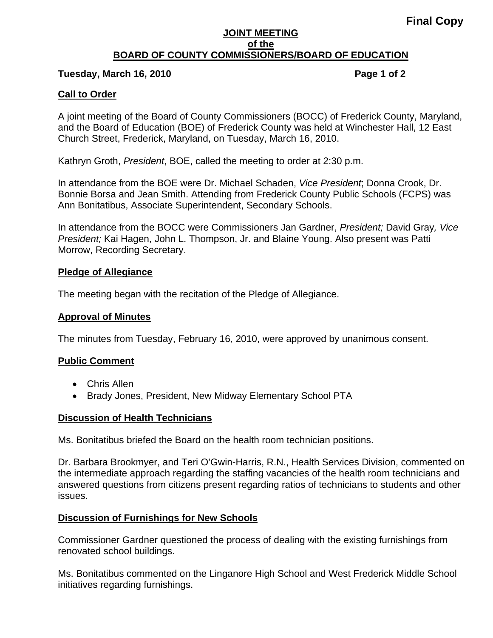#### **JOINT MEETING of the BOARD OF COUNTY COMMISSIONERS/BOARD OF EDUCATION**

### **Tuesday, March 16, 2010 Page 1 of 2**

### **Call to Order**

A joint meeting of the Board of County Commissioners (BOCC) of Frederick County, Maryland, and the Board of Education (BOE) of Frederick County was held at Winchester Hall, 12 East Church Street, Frederick, Maryland, on Tuesday, March 16, 2010.

Kathryn Groth, *President*, BOE, called the meeting to order at 2:30 p.m.

In attendance from the BOE were Dr. Michael Schaden, *Vice President*; Donna Crook, Dr. Bonnie Borsa and Jean Smith. Attending from Frederick County Public Schools (FCPS) was Ann Bonitatibus, Associate Superintendent, Secondary Schools.

In attendance from the BOCC were Commissioners Jan Gardner, *President;* David Gray*, Vice President;* Kai Hagen, John L. Thompson, Jr. and Blaine Young. Also present was Patti Morrow, Recording Secretary.

### **Pledge of Allegiance**

The meeting began with the recitation of the Pledge of Allegiance.

### **Approval of Minutes**

The minutes from Tuesday, February 16, 2010, were approved by unanimous consent.

# **Public Comment**

- Chris Allen
- Brady Jones, President, New Midway Elementary School PTA

#### **Discussion of Health Technicians**

Ms. Bonitatibus briefed the Board on the health room technician positions.

Dr. Barbara Brookmyer, and Teri O'Gwin-Harris, R.N., Health Services Division, commented on the intermediate approach regarding the staffing vacancies of the health room technicians and answered questions from citizens present regarding ratios of technicians to students and other issues.

#### **Discussion of Furnishings for New Schools**

Commissioner Gardner questioned the process of dealing with the existing furnishings from renovated school buildings.

Ms. Bonitatibus commented on the Linganore High School and West Frederick Middle School initiatives regarding furnishings.